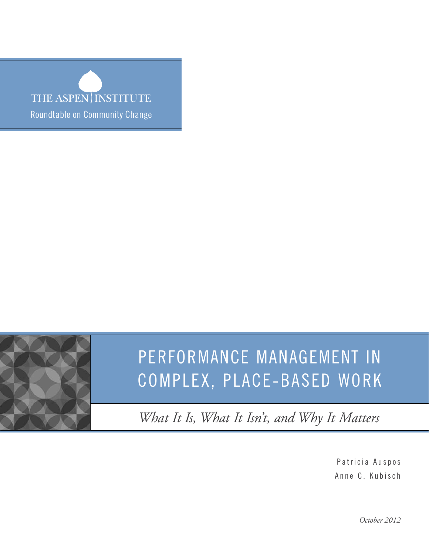THE ASPEN INSTITUTE Roundtable on Community Change



*What It Is, What It Isn't, and Why It Matters*

Patricia Auspos Anne C. Kubisch

*October 2012*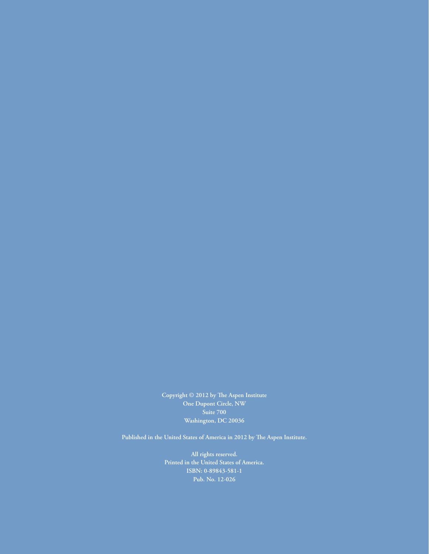**Copyright © 2012 by The Aspen Institute One Dupont Circle, NW Suite 700 Washington, DC 20036**

**Published in the United States of America in 2012 by The Aspen Institute.**

**All rights reserved. Printed in the United States of America. ISBN: 0-89843-581-1 Pub. No. 12-026**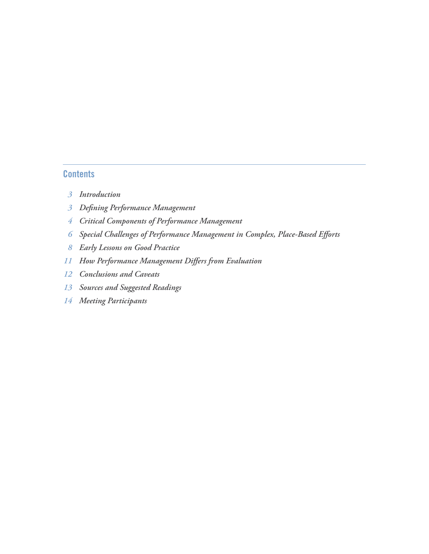# **Contents**

- *Introduction*
- *Defining Performance Management*
- *Critical Components of Performance Management*
- *Special Challenges of Performance Management in Complex, Place-Based Efforts*
- *Early Lessons on Good Practice*
- *How Performance Management Differs from Evaluation*
- *Conclusions and Caveats*
- *Sources and Suggested Readings*
- *Meeting Participants*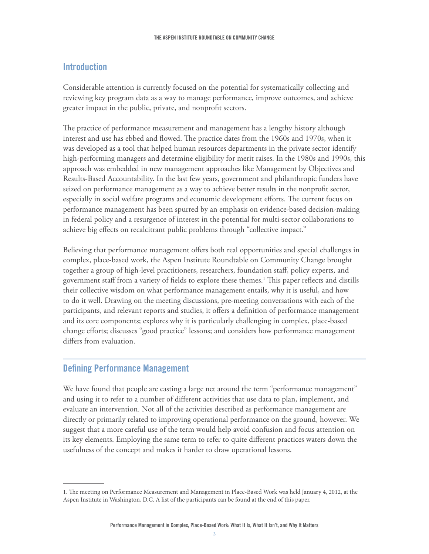# **Introduction**

Considerable attention is currently focused on the potential for systematically collecting and reviewing key program data as a way to manage performance, improve outcomes, and achieve greater impact in the public, private, and nonprofit sectors.

The practice of performance measurement and management has a lengthy history although interest and use has ebbed and flowed. The practice dates from the 1960s and 1970s, when it was developed as a tool that helped human resources departments in the private sector identify high-performing managers and determine eligibility for merit raises. In the 1980s and 1990s, this approach was embedded in new management approaches like Management by Objectives and Results-Based Accountability. In the last few years, government and philanthropic funders have seized on performance management as a way to achieve better results in the nonprofit sector, especially in social welfare programs and economic development efforts. The current focus on performance management has been spurred by an emphasis on evidence-based decision-making in federal policy and a resurgence of interest in the potential for multi-sector collaborations to achieve big effects on recalcitrant public problems through "collective impact."

Believing that performance management offers both real opportunities and special challenges in complex, place-based work, the Aspen Institute Roundtable on Community Change brought together a group of high-level practitioners, researchers, foundation staff, policy experts, and government staff from a variety of fields to explore these themes.1 This paper reflects and distills their collective wisdom on what performance management entails, why it is useful, and how to do it well. Drawing on the meeting discussions, pre-meeting conversations with each of the participants, and relevant reports and studies, it offers a definition of performance management and its core components; explores why it is particularly challenging in complex, place-based change efforts; discusses "good practice" lessons; and considers how performance management differs from evaluation.

# **Defining Performance Management**

We have found that people are casting a large net around the term "performance management" and using it to refer to a number of different activities that use data to plan, implement, and evaluate an intervention. Not all of the activities described as performance management are directly or primarily related to improving operational performance on the ground, however. We suggest that a more careful use of the term would help avoid confusion and focus attention on its key elements. Employing the same term to refer to quite different practices waters down the usefulness of the concept and makes it harder to draw operational lessons.

<sup>1.</sup> The meeting on Performance Measurement and Management in Place-Based Work was held January 4, 2012, at the Aspen Institute in Washington, D.C. A list of the participants can be found at the end of this paper.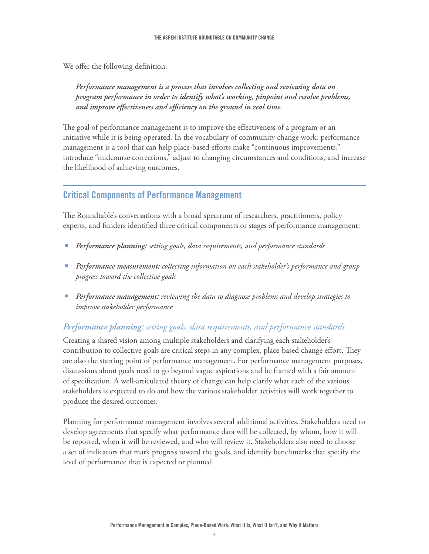We offer the following definition:

Performance management is a process that involves collecting and reviewing data on *program performance in order to identify what's working, pinpoint and resolve problems, and improve effectiveness and efficiency on the ground in real time.* 

The goal of performance management is to improve the effectiveness of a program or an initiative while it is being operated. In the vocabulary of community change work, performance management is a tool that can help place-based efforts make "continuous improvements," introduce "midcourse corrections," adjust to changing circumstances and conditions, and increase the likelihood of achieving outcomes.

# **Critical Components of Performance Management**

The Roundtable's conversations with a broad spectrum of researchers, practitioners, policy experts, and funders identified three critical components or stages of performance management:

- e *Performance planning: setting goals, data requirements, and performance standards*
- **•** Performance measurement: *collecting information on each stakeholder's performance and group progress toward the collective goals*
- **•** Performance management: *reviewing the data to diagnose problems and develop strategies to improve stakeholder performance*

# *Performance planning: setting goals, data requirements, and performance standards*

Creating a shared vision among multiple stakeholders and clarifying each stakeholder's contribution to collective goals are critical steps in any complex, place-based change effort. They are also the starting point of performance management. For performance management purposes, discussions about goals need to go beyond vague aspirations and be framed with a fair amount of specification. A well-articulated theory of change can help clarify what each of the various stakeholders is expected to do and how the various stakeholder activities will work together to produce the desired outcomes.

Planning for performance management involves several additional activities. Stakeholders need to develop agreements that specify what performance data will be collected, by whom, how it will be reported, when it will be reviewed, and who will review it. Stakeholders also need to choose a set of indicators that mark progress toward the goals, and identify benchmarks that specify the level of performance that is expected or planned.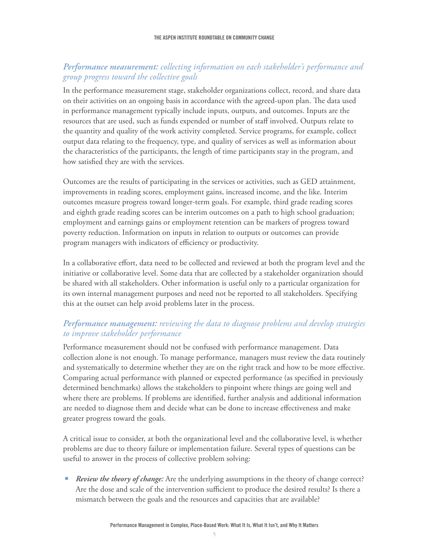## *Performance measurement: collecting information on each stakeholder's performance and group progress toward the collective goals*

In the performance measurement stage, stakeholder organizations collect, record, and share data on their activities on an ongoing basis in accordance with the agreed-upon plan. The data used in performance management typically include inputs, outputs, and outcomes. Inputs are the resources that are used, such as funds expended or number of staff involved. Outputs relate to the quantity and quality of the work activity completed. Service programs, for example, collect output data relating to the frequency, type, and quality of services as well as information about the characteristics of the participants, the length of time participants stay in the program, and how satisfied they are with the services.

Outcomes are the results of participating in the services or activities, such as GED attainment, improvements in reading scores, employment gains, increased income, and the like. Interim outcomes measure progress toward longer-term goals. For example, third grade reading scores and eighth grade reading scores can be interim outcomes on a path to high school graduation; employment and earnings gains or employment retention can be markers of progress toward poverty reduction. Information on inputs in relation to outputs or outcomes can provide program managers with indicators of efficiency or productivity.

In a collaborative effort, data need to be collected and reviewed at both the program level and the initiative or collaborative level. Some data that are collected by a stakeholder organization should be shared with all stakeholders. Other information is useful only to a particular organization for its own internal management purposes and need not be reported to all stakeholders. Specifying this at the outset can help avoid problems later in the process.

# *Performance management: reviewing the data to diagnose problems and develop strategies to improve stakeholder performance*

Performance measurement should not be confused with performance management. Data collection alone is not enough. To manage performance, managers must review the data routinely and systematically to determine whether they are on the right track and how to be more effective. Comparing actual performance with planned or expected performance (as specified in previously determined benchmarks) allows the stakeholders to pinpoint where things are going well and where there are problems. If problems are identified, further analysis and additional information are needed to diagnose them and decide what can be done to increase effectiveness and make greater progress toward the goals.

A critical issue to consider, at both the organizational level and the collaborative level, is whether problems are due to theory failure or implementation failure. Several types of questions can be useful to answer in the process of collective problem solving:

*Review the theory of change:* Are the underlying assumptions in the theory of change correct? Are the dose and scale of the intervention sufficient to produce the desired results? Is there a mismatch between the goals and the resources and capacities that are available?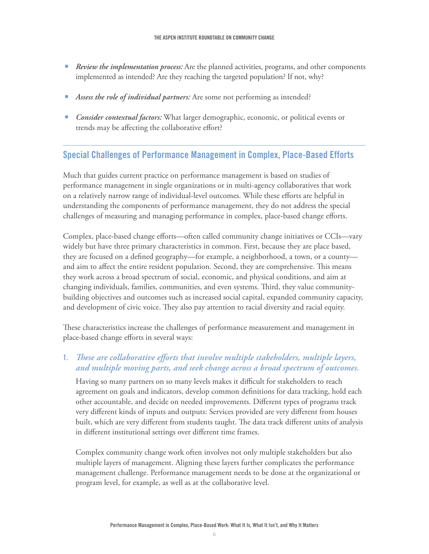- *P Review the implementation process:* Are the planned activities, programs, and other components implemented as intended? Are they reaching the targeted population? If not, why?
- **E** *Assess the role of individual partners:* Are some not performing as intended?
- e *Consider contextual factors:* What larger demographic, economic, or political events or trends may be affecting the collaborative effort?

## **Special Challenges of Performance Management in Complex, Place-Based Efforts**

Much that guides current practice on performance management is based on studies of performance management in single organizations or in multi-agency collaboratives that work on a relatively narrow range of individual-level outcomes. While these efforts are helpful in understanding the components of performance management, they do not address the special challenges of measuring and managing performance in complex, place-based change efforts.

Complex, place-based change efforts—often called community change initiatives or CCIs—vary widely but have three primary characteristics in common. First, because they are place based, they are focused on a defined geography—for example, a neighborhood, a town, or a county and aim to affect the entire resident population. Second, they are comprehensive. This means they work across a broad spectrum of social, economic, and physical conditions, and aim at changing individuals, families, communities, and even systems. Third, they value communitybuilding objectives and outcomes such as increased social capital, expanded community capacity, and development of civic voice. They also pay attention to racial diversity and racial equity.

These characteristics increase the challenges of performance measurement and management in place-based change efforts in several ways:

#### **1.** *These are collaborative efforts that involve multiple stakeholders, multiple layers, and multiple moving parts, and seek change across a broad spectrum of outcomes.*

Having so many partners on so many levels makes it difficult for stakeholders to reach agreement on goals and indicators, develop common definitions for data tracking, hold each other accountable, and decide on needed improvements. Different types of programs track very different kinds of inputs and outputs: Services provided are very different from houses built, which are very different from students taught. The data track different units of analysis in different institutional settings over different time frames.

Complex community change work often involves not only multiple stakeholders but also multiple layers of management. Aligning these layers further complicates the performance management challenge. Performance management needs to be done at the organizational or program level, for example, as well as at the collaborative level.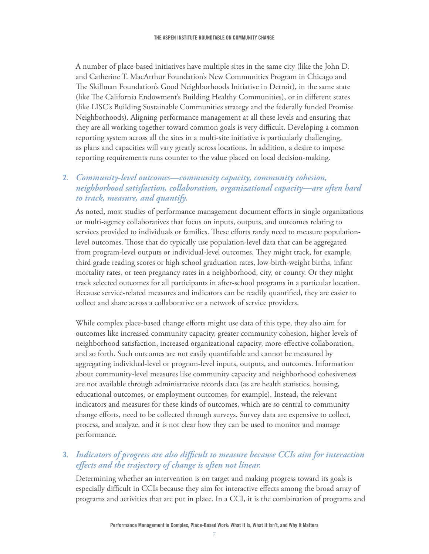A number of place-based initiatives have multiple sites in the same city (like the John D. and Catherine T. MacArthur Foundation's New Communities Program in Chicago and The Skillman Foundation's Good Neighborhoods Initiative in Detroit), in the same state (like The California Endowment's Building Healthy Communities), or in different states (like LISC's Building Sustainable Communities strategy and the federally funded Promise Neighborhoods). Aligning performance management at all these levels and ensuring that they are all working together toward common goals is very difficult. Developing a common reporting system across all the sites in a multi-site initiative is particularly challenging, as plans and capacities will vary greatly across locations. In addition, a desire to impose reporting requirements runs counter to the value placed on local decision-making.

# **2.** *Community-level outcomes—community capacity, community cohesion, neighborhood satisfaction, collaboration, organizational capacity—are often hard to track, measure, and quantify.*

As noted, most studies of performance management document efforts in single organizations or multi-agency collaboratives that focus on inputs, outputs, and outcomes relating to services provided to individuals or families. These efforts rarely need to measure populationlevel outcomes. Those that do typically use population-level data that can be aggregated from program-level outputs or individual-level outcomes. They might track, for example, third grade reading scores or high school graduation rates, low-birth-weight births, infant mortality rates, or teen pregnancy rates in a neighborhood, city, or county. Or they might track selected outcomes for all participants in after-school programs in a particular location. Because service-related measures and indicators can be readily quantified, they are easier to collect and share across a collaborative or a network of service providers.

While complex place-based change efforts might use data of this type, they also aim for outcomes like increased community capacity, greater community cohesion, higher levels of neighborhood satisfaction, increased organizational capacity, more-effective collaboration, and so forth. Such outcomes are not easily quantifiable and cannot be measured by aggregating individual-level or program-level inputs, outputs, and outcomes. Information about community-level measures like community capacity and neighborhood cohesiveness are not available through administrative records data (as are health statistics, housing, educational outcomes, or employment outcomes, for example). Instead, the relevant indicators and measures for these kinds of outcomes, which are so central to community change efforts, need to be collected through surveys. Survey data are expensive to collect, process, and analyze, and it is not clear how they can be used to monitor and manage performance.

## **3.** *Indicators of progress are also difficult to measure because CCIs aim for interaction effects and the trajectory of change is often not linear.*

Determining whether an intervention is on target and making progress toward its goals is especially difficult in CCIs because they aim for interactive effects among the broad array of programs and activities that are put in place. In a CCI, it is the combination of programs and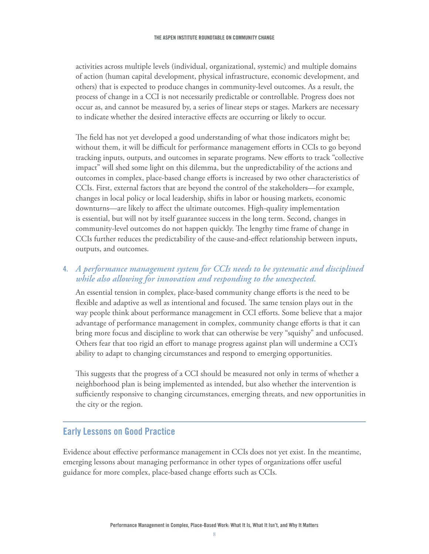activities across multiple levels (individual, organizational, systemic) and multiple domains of action (human capital development, physical infrastructure, economic development, and others) that is expected to produce changes in community-level outcomes. As a result, the process of change in a CCI is not necessarily predictable or controllable. Progress does not occur as, and cannot be measured by, a series of linear steps or stages. Markers are necessary to indicate whether the desired interactive effects are occurring or likely to occur.

The field has not yet developed a good understanding of what those indicators might be; without them, it will be difficult for performance management efforts in CCIs to go beyond tracking inputs, outputs, and outcomes in separate programs. New efforts to track "collective impact" will shed some light on this dilemma, but the unpredictability of the actions and outcomes in complex, place-based change efforts is increased by two other characteristics of CCIs. First, external factors that are beyond the control of the stakeholders—for example, changes in local policy or local leadership, shifts in labor or housing markets, economic downturns—are likely to affect the ultimate outcomes. High-quality implementation is essential, but will not by itself guarantee success in the long term. Second, changes in community-level outcomes do not happen quickly. The lengthy time frame of change in CCIs further reduces the predictability of the cause-and-effect relationship between inputs, outputs, and outcomes.

#### **4.** *A performance management system for CCIs needs to be systematic and disciplined while also allowing for innovation and responding to the unexpected.*

An essential tension in complex, place-based community change efforts is the need to be flexible and adaptive as well as intentional and focused. The same tension plays out in the way people think about performance management in CCI efforts. Some believe that a major advantage of performance management in complex, community change efforts is that it can bring more focus and discipline to work that can otherwise be very "squishy" and unfocused. Others fear that too rigid an effort to manage progress against plan will undermine a CCI's ability to adapt to changing circumstances and respond to emerging opportunities.

This suggests that the progress of a CCI should be measured not only in terms of whether a neighborhood plan is being implemented as intended, but also whether the intervention is sufficiently responsive to changing circumstances, emerging threats, and new opportunities in the city or the region.

# **Early Lessons on Good Practice**

Evidence about effective performance management in CCIs does not yet exist. In the meantime, emerging lessons about managing performance in other types of organizations offer useful guidance for more complex, place-based change efforts such as CCIs.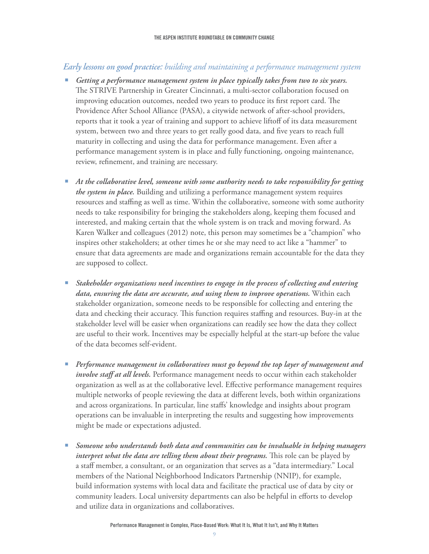#### *Early lessons on good practice: building and maintaining a performance management system*

- **E** Getting a performance management system in place typically takes from two to six years. The STRIVE Partnership in Greater Cincinnati, a multi-sector collaboration focused on improving education outcomes, needed two years to produce its first report card. The Providence After School Alliance (PASA), a citywide network of after-school providers, reports that it took a year of training and support to achieve liftoff of its data measurement system, between two and three years to get really good data, and five years to reach full maturity in collecting and using the data for performance management. Even after a performance management system is in place and fully functioning, ongoing maintenance, review, refinement, and training are necessary.
- e *At the collaborative level, someone with some authority needs to take responsibility for getting the system in place.* Building and utilizing a performance management system requires resources and staffing as well as time. Within the collaborative, someone with some authority needs to take responsibility for bringing the stakeholders along, keeping them focused and interested, and making certain that the whole system is on track and moving forward. As Karen Walker and colleagues (2012) note, this person may sometimes be a "champion" who inspires other stakeholders; at other times he or she may need to act like a "hammer" to ensure that data agreements are made and organizations remain accountable for the data they are supposed to collect.
- e *Stakeholder organizations need incentives to engage in the process of collecting and entering data, ensuring the data are accurate, and using them to improve operations.* Within each stakeholder organization, someone needs to be responsible for collecting and entering the data and checking their accuracy. This function requires staffing and resources. Buy-in at the stakeholder level will be easier when organizations can readily see how the data they collect are useful to their work. Incentives may be especially helpful at the start-up before the value of the data becomes self-evident.
- e *Performance management in collaboratives must go beyond the top layer of management and involve staff at all levels.* Performance management needs to occur within each stakeholder organization as well as at the collaborative level. Effective performance management requires multiple networks of people reviewing the data at different levels, both within organizations and across organizations. In particular, line staffs' knowledge and insights about program operations can be invaluable in interpreting the results and suggesting how improvements might be made or expectations adjusted.
- e *Someone who understands both data and communities can be invaluable in helping managers interpret what the data are telling them about their programs.* This role can be played by a staff member, a consultant, or an organization that serves as a "data intermediary." Local members of the National Neighborhood Indicators Partnership (NNIP), for example, build information systems with local data and facilitate the practical use of data by city or community leaders. Local university departments can also be helpful in efforts to develop and utilize data in organizations and collaboratives.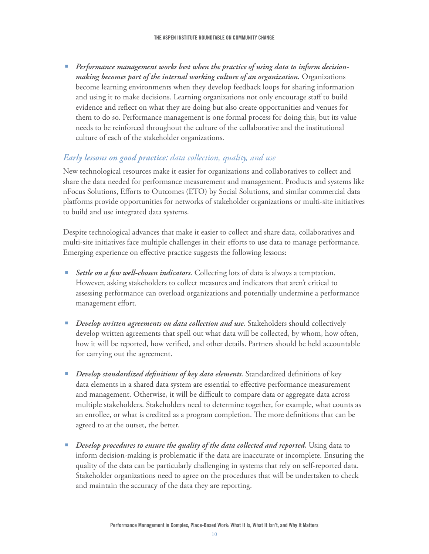e *Performance management works best when the practice of using data to inform decisionmaking becomes part of the internal working culture of an organization.* Organizations become learning environments when they develop feedback loops for sharing information and using it to make decisions. Learning organizations not only encourage staff to build evidence and reflect on what they are doing but also create opportunities and venues for them to do so. Performance management is one formal process for doing this, but its value needs to be reinforced throughout the culture of the collaborative and the institutional culture of each of the stakeholder organizations.

#### *Early lessons on good practice: data collection, quality, and use*

New technological resources make it easier for organizations and collaboratives to collect and share the data needed for performance measurement and management. Products and systems like nFocus Solutions, Efforts to Outcomes (ETO) by Social Solutions, and similar commercial data platforms provide opportunities for networks of stakeholder organizations or multi-site initiatives to build and use integrated data systems.

Despite technological advances that make it easier to collect and share data, collaboratives and multi-site initiatives face multiple challenges in their efforts to use data to manage performance. Emerging experience on effective practice suggests the following lessons:

- Settle on a few well-chosen indicators. Collecting lots of data is always a temptation. However, asking stakeholders to collect measures and indicators that aren't critical to assessing performance can overload organizations and potentially undermine a performance management effort.
- e *Develop written agreements on data collection and use.* Stakeholders should collectively develop written agreements that spell out what data will be collected, by whom, how often, how it will be reported, how verified, and other details. Partners should be held accountable for carrying out the agreement.
- *Develop standardized definitions of key data elements.* **Standardized definitions of key** data elements in a shared data system are essential to effective performance measurement and management. Otherwise, it will be difficult to compare data or aggregate data across multiple stakeholders. Stakeholders need to determine together, for example, what counts as an enrollee, or what is credited as a program completion. The more definitions that can be agreed to at the outset, the better.
- **•** Develop procedures to ensure the quality of the data collected and reported. Using data to inform decision-making is problematic if the data are inaccurate or incomplete. Ensuring the quality of the data can be particularly challenging in systems that rely on self-reported data. Stakeholder organizations need to agree on the procedures that will be undertaken to check and maintain the accuracy of the data they are reporting.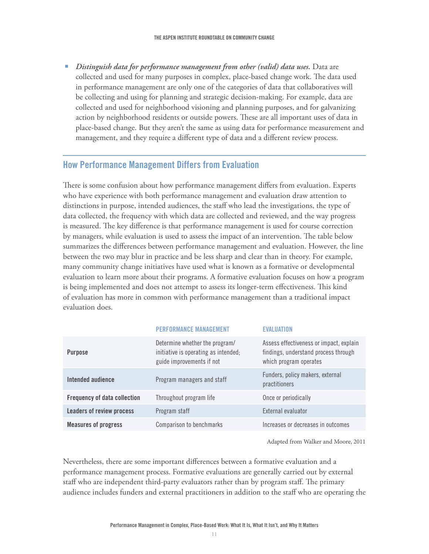e *Distinguish data for performance management from other (valid) data uses.* Data are collected and used for many purposes in complex, place-based change work. The data used in performance management are only one of the categories of data that collaboratives will be collecting and using for planning and strategic decision-making. For example, data are collected and used for neighborhood visioning and planning purposes, and for galvanizing action by neighborhood residents or outside powers. These are all important uses of data in place-based change. But they aren't the same as using data for performance measurement and management, and they require a different type of data and a different review process.

# **How Performance Management Differs from Evaluation**

There is some confusion about how performance management differs from evaluation. Experts who have experience with both performance management and evaluation draw attention to distinctions in purpose, intended audiences, the staff who lead the investigations, the type of data collected, the frequency with which data are collected and reviewed, and the way progress is measured. The key difference is that performance management is used for course correction by managers, while evaluation is used to assess the impact of an intervention. The table below summarizes the differences between performance management and evaluation. However, the line between the two may blur in practice and be less sharp and clear than in theory. For example, many community change initiatives have used what is known as a formative or developmental evaluation to learn more about their programs. A formative evaluation focuses on how a program is being implemented and does not attempt to assess its longer-term effectiveness. This kind of evaluation has more in common with performance management than a traditional impact evaluation does.

| <b>PERFORMANCE MANAGEMENT</b>                                                                       | <b>FVALUATION</b>                                                                                         |
|-----------------------------------------------------------------------------------------------------|-----------------------------------------------------------------------------------------------------------|
| Determine whether the program/<br>initiative is operating as intended;<br>guide improvements if not | Assess effectiveness or impact, explain<br>findings, understand process through<br>which program operates |
| Program managers and staff                                                                          | Funders, policy makers, external<br>practitioners                                                         |
| Throughout program life                                                                             | Once or periodically                                                                                      |
| Program staff                                                                                       | External evaluator                                                                                        |
| Comparison to benchmarks                                                                            | Increases or decreases in outcomes                                                                        |
|                                                                                                     |                                                                                                           |

Adapted from Walker and Moore, 2011

Nevertheless, there are some important differences between a formative evaluation and a performance management process. Formative evaluations are generally carried out by external staff who are independent third-party evaluators rather than by program staff. The primary audience includes funders and external practitioners in addition to the staff who are operating the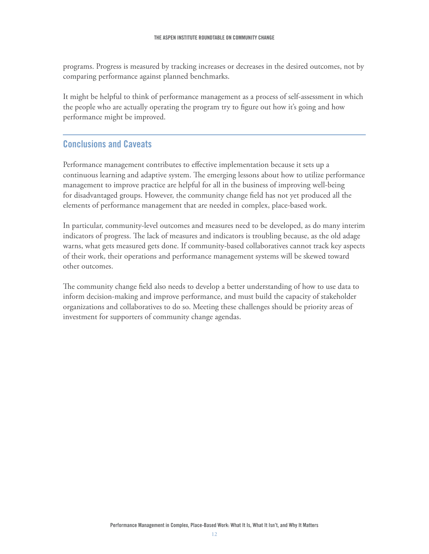programs. Progress is measured by tracking increases or decreases in the desired outcomes, not by comparing performance against planned benchmarks.

It might be helpful to think of performance management as a process of self-assessment in which the people who are actually operating the program try to figure out how it's going and how performance might be improved.

## **Conclusions and Caveats**

Performance management contributes to effective implementation because it sets up a continuous learning and adaptive system. The emerging lessons about how to utilize performance management to improve practice are helpful for all in the business of improving well-being for disadvantaged groups. However, the community change field has not yet produced all the elements of performance management that are needed in complex, place-based work.

In particular, community-level outcomes and measures need to be developed, as do many interim indicators of progress. The lack of measures and indicators is troubling because, as the old adage warns, what gets measured gets done. If community-based collaboratives cannot track key aspects of their work, their operations and performance management systems will be skewed toward other outcomes.

The community change field also needs to develop a better understanding of how to use data to inform decision-making and improve performance, and must build the capacity of stakeholder organizations and collaboratives to do so. Meeting these challenges should be priority areas of investment for supporters of community change agendas.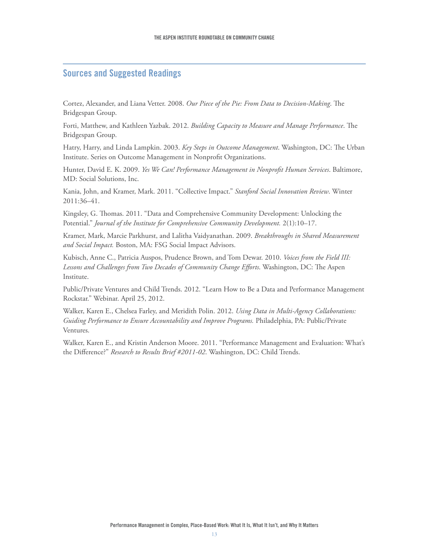#### **Sources and Suggested Readings**

Cortez, Alexander, and Liana Vetter. 2008. *Our Piece of the Pie: From Data to Decision-Making*. The Bridgespan Group.

Forti, Matthew, and Kathleen Yazbak. 2012. *Building Capacity to Measure and Manage Performance*. The Bridgespan Group.

Hatry, Harry, and Linda Lampkin. 2003. *Key Steps in Outcome Management*. Washington, DC: The Urban Institute. Series on Outcome Management in Nonprofit Organizations.

Hunter, David E. K. 2009. *Yes We Can! Performance Management in Nonprofit Human Services*. Baltimore, MD: Social Solutions, Inc.

Kania, John, and Kramer, Mark. 2011. "Collective Impact." *Stanford Social Innovation Review*. Winter 2011:36–41.

Kingsley, G. Thomas. 2011. "Data and Comprehensive Community Development: Unlocking the Potential." *Journal of the Institute for Comprehensive Community Development.* 2(1):10–17.

Kramer, Mark, Marcie Parkhurst, and Lalitha Vaidyanathan. 2009. *Breakthroughs in Shared Measurement and Social Impact.* Boston, MA: FSG Social Impact Advisors.

Kubisch, Anne C., Patricia Auspos, Prudence Brown, and Tom Dewar. 2010. *Voices from the Field III: Lessons and Challenges from Two Decades of Community Change Efforts*. Washington, DC: The Aspen Institute.

Public/Private Ventures and Child Trends. 2012. "Learn How to Be a Data and Performance Management Rockstar." Webinar. April 25, 2012.

Walker, Karen E., Chelsea Farley, and Meridith Polin. 2012. *Using Data in Multi-Agency Collaborations: Guiding Performance to Ensure Accountability and Improve Programs.* Philadelphia, PA: Public/Private Ventures.

Walker, Karen E., and Kristin Anderson Moore. 2011. "Performance Management and Evaluation: What's the Difference?" *Research to Results Brief #2011-02*. Washington, DC: Child Trends.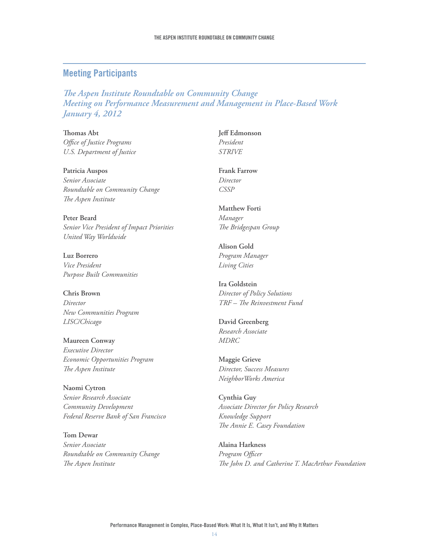#### **Meeting Participants**

*The Aspen Institute Roundtable on Community Change Meeting on Performance Measurement and Management in Place-Based Work January 4, 2012*

**Thomas Abt** *Office of Justice Programs U.S. Department of Justice*

**Patricia Auspos** *Senior Associate Roundtable on Community Change The Aspen Institute*

**Peter Beard** *Senior Vice President of Impact Priorities United Way Worldwide*

**Luz Borrero** *Vice President Purpose Built Communities*

**Chris Brown** *Director New Communities Program LISC/Chicago*

**Maureen Conway** *Executive Director Economic Opportunities Program The Aspen Institute*

**Naomi Cytron** *Senior Research Associate Community Development Federal Reserve Bank of San Francisco*

**Tom Dewar** *Senior Associate Roundtable on Community Change The Aspen Institute*

**Jeff Edmonson** *President STRIVE* 

**Frank Farrow** *Director CSSP* 

**Matthew Forti** *Manager The Bridgespan Group*

**Alison Gold** *Program Manager Living Cities*

**Ira Goldstein** *Director of Policy Solutions TRF – The Reinvestment Fund*

**David Greenberg** *Research Associate MDRC*

**Maggie Grieve** *Director, Success Measures NeighborWorks America*

**Cynthia Guy** *Associate Director for Policy Research Knowledge Support The Annie E. Casey Foundation*

**Alaina Harkness** *Program Officer The John D. and Catherine T. MacArthur Foundation*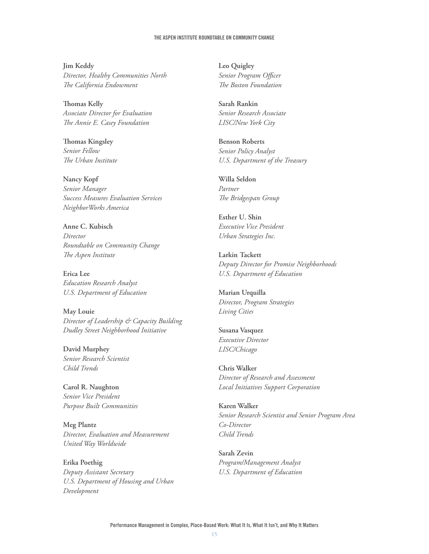#### **The Aspen Institute Roundtable on Community Change**

**Jim Keddy** *Director, Healthy Communities North The California Endowment*

**Thomas Kelly** *Associate Director for Evaluation The Annie E. Casey Foundation*

**Thomas Kingsley** *Senior Fellow The Urban Institute*

**Nancy Kopf** *Senior Manager Success Measures Evaluation Services NeighborWorks America*

**Anne C. Kubisch** *Director Roundtable on Community Change The Aspen Institute*

**Erica Lee**  *Education Research Analyst U.S. Department of Education*

**May Louie** *Director of Leadership & Capacity Building Dudley Street Neighborhood Initiative*

**David Murphey** *Senior Research Scientist Child Trends*

**Carol R. Naughton** *Senior Vice President Purpose Built Communities*

**Meg Plantz** *Director, Evaluation and Measurement United Way Worldwide*

**Erika Poethig** *Deputy Assistant Secretary U.S. Department of Housing and Urban Development* 

**Leo Quigley** *Senior Program Officer The Boston Foundation*

**Sarah Rankin** *Senior Research Associate LISC/New York City*

**Benson Roberts** *Senior Policy Analyst U.S. Department of the Treasury*

**Willa Seldon** *Partner The Bridgespan Group*

**Esther U. Shin** *Executive Vice President Urban Strategies Inc.*

**Larkin Tackett** *Deputy Director for Promise Neighborhoods U.S. Department of Education* 

**Marian Urquilla** *Director, Program Strategies Living Cities*

**Susana Vasquez** *Executive Director LISC/Chicago*

**Chris Walker** *Director of Research and Assessment Local Initiatives Support Corporation*

**Karen Walker** *Senior Research Scientist and Senior Program Area Co-Director Child Trends*

**Sarah Zevin**  *Program/Management Analyst U.S. Department of Education*